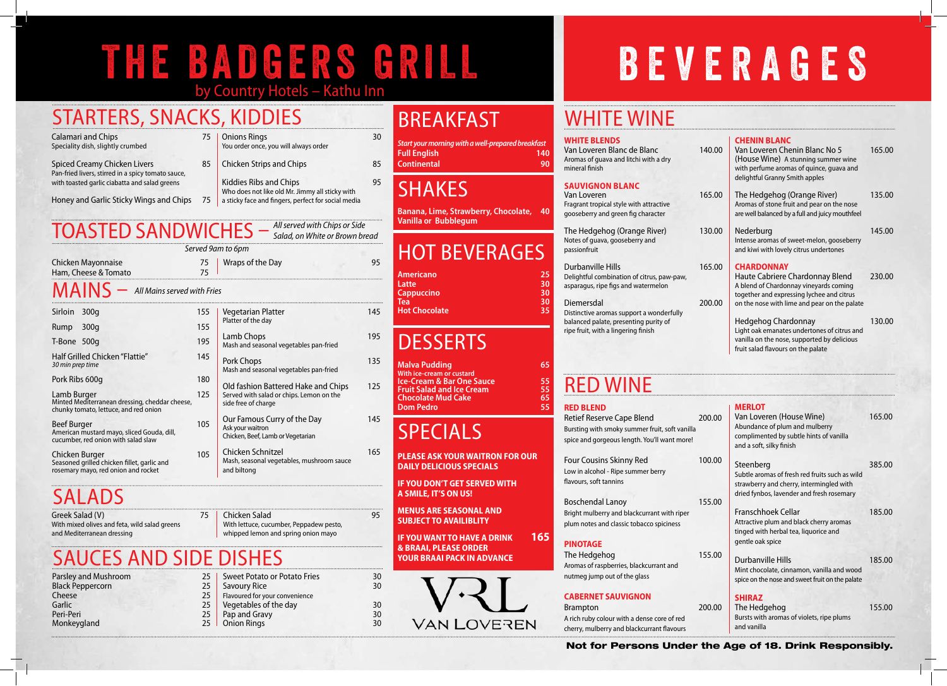## THE BADGERS GRILL FREVERAGES by Country Hotels – Kathu Inn

#### **WHITE BLENDS**

Van Loveren Blanc de Blanc Aromas of guava and litchi with a dry mineral finish

#### **Sauvignon Blanc** Van Loveren

The Hedgehog (Orange River) Notes of guava, gooseberry and passionfruit

#### Durbanville Hills

Delightful combination of citrus, paw-pa asparagus, ripe figs and watermelon

#### Diemersdal

Fragrant tropical style with attractive gooseberry and green fig character

Distinctive aromas support a wonderful balanced palate, presenting purity of ripe fruit, with a lingering finish

Four Cousins Skinny Red Low in alcohol - Ripe summer berry flavours, soft tannins

Boschendal Lanoy Bright mulberry and blackcurrant with r plum notes and classic tobacco spicines

The Hedgehog Aromas of raspberries, blackcurrant and nutmeg jump out of the glass

### Red Wine **RED BLEND**

Retief Reserve Cape Blend Bursting with smoky summer fruit, soft

spice and gorgeous length. You'll want

|                  | 140.00           | <b>CHENIN BLANC</b><br>Van Loveren Chenin Blanc No 5<br>(House Wine) A stunning summer wine<br>with perfume aromas of quince, quava and<br>delightful Granny Smith apples                   | 165.00 |
|------------------|------------------|---------------------------------------------------------------------------------------------------------------------------------------------------------------------------------------------|--------|
|                  | 165.00           | The Hedgehog (Orange River)<br>Aromas of stone fruit and pear on the nose<br>are well balanced by a full and juicy mouthfeel                                                                | 135.00 |
|                  | 130.00           | Nederburg<br>Intense aromas of sweet-melon, gooseberry<br>and kiwi with lovely citrus undertones                                                                                            | 145.00 |
| aw,              | 165.00<br>200.00 | <b>CHARDONNAY</b><br>Haute Cabriere Chardonnay Blend<br>A blend of Chardonnay vineyards coming<br>together and expressing lychee and citrus<br>on the nose with lime and pear on the palate | 230.00 |
| lly              |                  | <b>Hedgehog Chardonnay</b><br>Light oak emanates undertones of citrus and<br>vanilla on the nose, supported by delicious<br>fruit salad flavours on the palate                              | 130.00 |
|                  |                  |                                                                                                                                                                                             |        |
| vanilla<br>more! | 200.00           | <b>MERLOT</b><br>Van Loveren (House Wine)<br>Abundance of plum and mulberry<br>complimented by subtle hints of vanilla<br>and a soft, silky finish                                          | 165.00 |
|                  | 100.00           | Steenberg<br>Subtle aromas of fresh red fruits such as wild<br>strawberry and cherry, intermingled with<br>dried fynbos, lavender and fresh rosemary                                        | 385.00 |
| iper<br>S.       | 155.00           | <b>Franschhoek Cellar</b><br>Attractive plum and black cherry aromas<br>tinged with herbal tea, liquorice and<br>gentle oak spice                                                           | 185.00 |
|                  | 155.00           | <b>Durbanville Hills</b><br>Mint chocolate, cinnamon, vanilla and wood<br>spice on the nose and sweet fruit on the palate                                                                   | 185.00 |
| ed<br>urs        | 200.00           | <b>SHIRAZ</b><br>The Hedgehog<br>Bursts with aromas of violets, ripe plums<br>and vanilla                                                                                                   | 155.00 |
|                  |                  | der the Age of 18. Drink Responsibly.                                                                                                                                                       |        |

### **PINOTAGE**

### **CABERNET SAUVIGNON**

**Brampton** A rich ruby colour with a dense core of r cherry, mulberry and blackcurrant flavours

### Not for Persons Under

**IF YOU WANT TO HAVE A DRINK 165 & BRAAI, PLEASE ORDER YOUR BRAAI PACK IN ADVANCE**



## WHITE WINE

Greek Salad (V) 75 With mixed olives and feta, wild salad greens and Mediterranean dressing

## BREAKFAST

*Start your morning with a well-prepared breakfast* **Full English 140 Continental 90**

### **SHAKES**

**Banana, Lime, Strawberry, Chocolate, 40 Vanilla or Bubblegum**

## HOT BEVERAGES

| <b>Americano</b>     | 25 |
|----------------------|----|
| Latte                | 30 |
| <b>Cappuccino</b>    | 30 |
| Tea                  | 30 |
| <b>Hot Chocolate</b> | 35 |
|                      |    |

## **DESSERTS**

**Malva Pudding 65 With ice-cream or custard Ice-Cream & Bar One Sauce 55<br>
<b>Fruit Salad and Ice Cream** 55<br> **Chocolate Mud Cake** 65 **Fruit Salad and Ice Cream 55 Chocolate Mud Cake 65 Dom Pedro** 

## SPECIALS

**PLEASE ASK YOUR WAITRON FOR OUR DAILY DELICIOUS SPECIALS**

|                                                                                                         |     | Served 9am to 6pm                                                                                      |     |  |  |
|---------------------------------------------------------------------------------------------------------|-----|--------------------------------------------------------------------------------------------------------|-----|--|--|
| Chicken Mayonnaise<br>Ham, Cheese & Tomato                                                              |     | Wraps of the Day                                                                                       | 95  |  |  |
| $\text{MAN} -$ All Mains served with Fries                                                              |     |                                                                                                        |     |  |  |
| Sirloin<br>300q                                                                                         | 155 | <b>Vegetarian Platter</b><br>Platter of the day                                                        | 145 |  |  |
| 300q<br>Rump                                                                                            | 155 |                                                                                                        |     |  |  |
| T-Bone 500g                                                                                             | 195 | Lamb Chops<br>Mash and seasonal vegetables pan-fried                                                   | 195 |  |  |
| Half Grilled Chicken "Flattie"<br>30 min prep time                                                      |     | Pork Chops<br>Mash and seasonal vegetables pan-fried                                                   | 135 |  |  |
| Pork Ribs 600g                                                                                          |     |                                                                                                        |     |  |  |
| Lamb Burger<br>Minted Mediterranean dressing, cheddar cheese,<br>chunky tomato, lettuce, and red onion  |     | Old fashion Battered Hake and Chips<br>Served with salad or chips. Lemon on the<br>side free of charge | 125 |  |  |
| <b>Beef Burger</b><br>American mustard mayo, sliced Gouda, dill,<br>cucumber, red onion with salad slaw |     | Our Famous Curry of the Day<br>Ask your waitron<br>Chicken, Beef, Lamb or Vegetarian                   | 145 |  |  |
| Chicken Burger<br>Seasoned grilled chicken fillet, garlic and<br>rosemary mayo, red onion and rocket    | 105 | Chicken Schnitzel<br>Mash, seasonal vegetables, mushroom sauce<br>and biltong                          | 165 |  |  |

## **SALADS**

**IF YOU DON'T GET SERVED WITH A SMILE, IT'S ON US!**

**MENUS ARE SEASONAL AND SUBJECT TO AVAILIBLITY**

## STARTERS, SNACKS, KIDDIES

| Calamari and Chips                                 | 75 |
|----------------------------------------------------|----|
| Speciality dish, slightly crumbed                  |    |
| <b>Spiced Creamy Chicken Livers</b>                | 85 |
| Pan-fried livers, stirred in a spicy tomato sauce. |    |

Pan-fried livers, stirred in a spicy tomato sauce, with toasted garlic ciabatta and salad greens

- Honey and Garlic Sticky Wings and Chips 75
- **Onions Rings 30** You order once, you will always order
- Chicken Strips and Chips 85
	- Kiddies Ribs and Chips 81 and 1995 Who does not like old Mr. Jimmy all sticky with a sticky face and fingers, perfect for social media

| Parsley and Mushroom    | 25 |
|-------------------------|----|
| <b>Black Peppercorn</b> | 25 |
| Cheese                  | 25 |
| Garlic                  | 25 |
| Peri-Peri               | 25 |
| Monkeygland             | 25 |

|                 | L D D I LJ                          |    |
|-----------------|-------------------------------------|----|
| 25.             | <b>Sweet Potato or Potato Fries</b> | 30 |
| 25 <sub>1</sub> | <b>Savoury Rice</b>                 | 30 |
| 25.             | Flavoured for your convenience      |    |
| 25              | Vegetables of the day               | 30 |
| 25.             | Pap and Gravy                       | 30 |
| 25              | <b>Onion Rings</b>                  | 30 |
|                 |                                     |    |

Chicken Salad 95 With lettuce, cucumber, Peppadew pesto, whipped lemon and spring onion mayo

## TOASTED SANDWICHES – *All served with Chips or Side*

*Salad, on White or Brown bread*

## Sauces AND SIDE DISHES